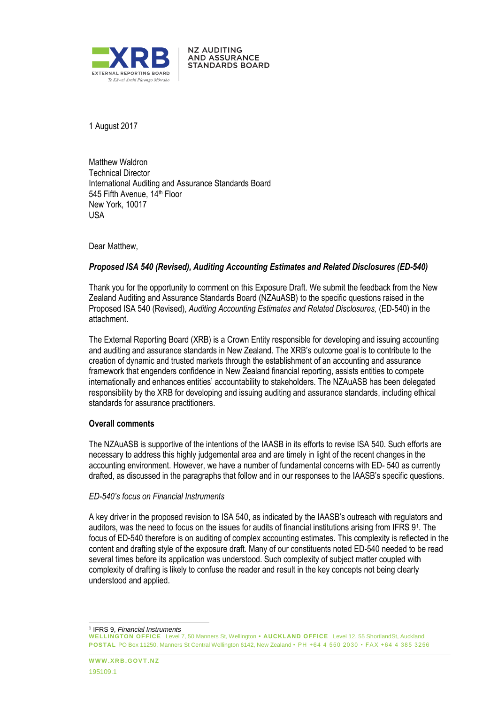

1 August 2017

Matthew Waldron Technical Director International Auditing and Assurance Standards Board 545 Fifth Avenue, 14th Floor New York, 10017 USA

**NZ AUDITING AND ASSURANCE STANDARDS BOARD** 

Dear Matthew,

# *Proposed ISA 540 (Revised), Auditing Accounting Estimates and Related Disclosures (ED-540)*

Thank you for the opportunity to comment on this Exposure Draft. We submit the feedback from the New Zealand Auditing and Assurance Standards Board (NZAuASB) to the specific questions raised in the Proposed ISA 540 (Revised), *Auditing Accounting Estimates and Related Disclosures,* (ED-540) in the attachment.

The External Reporting Board (XRB) is a Crown Entity responsible for developing and issuing accounting and auditing and assurance standards in New Zealand. The XRB's outcome goal is to contribute to the creation of dynamic and trusted markets through the establishment of an accounting and assurance framework that engenders confidence in New Zealand financial reporting, assists entities to compete internationally and enhances entities' accountability to stakeholders. The NZAuASB has been delegated responsibility by the XRB for developing and issuing auditing and assurance standards, including ethical standards for assurance practitioners.

# **Overall comments**

The NZAuASB is supportive of the intentions of the IAASB in its efforts to revise ISA 540. Such efforts are necessary to address this highly judgemental area and are timely in light of the recent changes in the accounting environment. However, we have a number of fundamental concerns with ED- 540 as currently drafted, as discussed in the paragraphs that follow and in our responses to the IAASB's specific questions.

# *ED-540's focus on Financial Instruments*

A key driver in the proposed revision to ISA 540, as indicated by the IAASB's outreach with regulators and auditors, was the need to focus on the issues for audits of financial institutions arising from IFRS 9<sup>1</sup> . The focus of ED-540 therefore is on auditing of complex accounting estimates. This complexity is reflected in the content and drafting style of the exposure draft. Many of our constituents noted ED-540 needed to be read several times before its application was understood. Such complexity of subject matter coupled with complexity of drafting is likely to confuse the reader and result in the key concepts not being clearly understood and applied.

l 1 IFRS 9, *Financial Instruments*

**WELLINGTON OFFICE** Level 7, 50 Manners St, Wellington **• AUCKLAND OFFICE** Level 12, 55 ShortlandSt, Auckland **POSTAL** PO Box 11250, Manners St Central Wellington 6142, New Zealand • PH +64 4 550 2030 • FAX +64 4 385 3256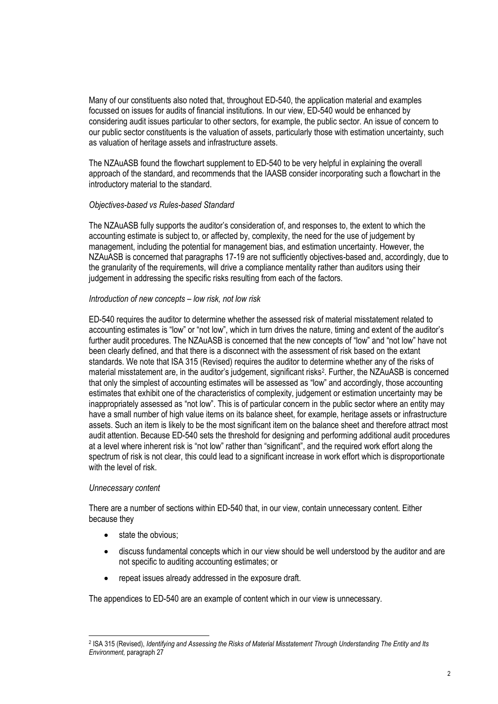Many of our constituents also noted that, throughout ED-540, the application material and examples focussed on issues for audits of financial institutions. In our view, ED-540 would be enhanced by considering audit issues particular to other sectors, for example, the public sector. An issue of concern to our public sector constituents is the valuation of assets, particularly those with estimation uncertainty, such as valuation of heritage assets and infrastructure assets.

The NZAuASB found the flowchart supplement to ED-540 to be very helpful in explaining the overall approach of the standard, and recommends that the IAASB consider incorporating such a flowchart in the introductory material to the standard.

# *Objectives-based vs Rules-based Standard*

The NZAuASB fully supports the auditor's consideration of, and responses to, the extent to which the accounting estimate is subject to, or affected by, complexity, the need for the use of judgement by management, including the potential for management bias, and estimation uncertainty. However, the NZAuASB is concerned that paragraphs 17-19 are not sufficiently objectives-based and, accordingly, due to the granularity of the requirements, will drive a compliance mentality rather than auditors using their judgement in addressing the specific risks resulting from each of the factors.

# *Introduction of new concepts – low risk, not low risk*

ED-540 requires the auditor to determine whether the assessed risk of material misstatement related to accounting estimates is "low" or "not low", which in turn drives the nature, timing and extent of the auditor's further audit procedures. The NZAuASB is concerned that the new concepts of "low" and "not low" have not been clearly defined, and that there is a disconnect with the assessment of risk based on the extant standards. We note that ISA 315 (Revised) requires the auditor to determine whether any of the risks of material misstatement are, in the auditor's judgement, significant risks<sup>2</sup>. Further, the NZAuASB is concerned that only the simplest of accounting estimates will be assessed as "low" and accordingly, those accounting estimates that exhibit one of the characteristics of complexity, judgement or estimation uncertainty may be inappropriately assessed as "not low". This is of particular concern in the public sector where an entity may have a small number of high value items on its balance sheet, for example, heritage assets or infrastructure assets. Such an item is likely to be the most significant item on the balance sheet and therefore attract most audit attention. Because ED-540 sets the threshold for designing and performing additional audit procedures at a level where inherent risk is "not low" rather than "significant", and the required work effort along the spectrum of risk is not clear, this could lead to a significant increase in work effort which is disproportionate with the level of risk.

# *Unnecessary content*

l

There are a number of sections within ED-540 that, in our view, contain unnecessary content. Either because they

- state the obvious;
- discuss fundamental concepts which in our view should be well understood by the auditor and are not specific to auditing accounting estimates; or
- repeat issues already addressed in the exposure draft.

The appendices to ED-540 are an example of content which in our view is unnecessary.

<sup>2</sup> ISA 315 (Revised), *Identifying and Assessing the Risks of Material Misstatement Through Understanding The Entity and Its Environment,* paragraph 27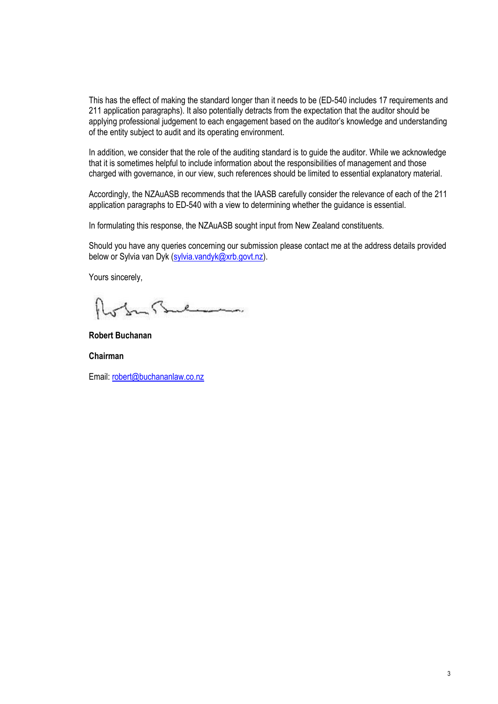This has the effect of making the standard longer than it needs to be (ED-540 includes 17 requirements and 211 application paragraphs). It also potentially detracts from the expectation that the auditor should be applying professional judgement to each engagement based on the auditor's knowledge and understanding of the entity subject to audit and its operating environment.

In addition, we consider that the role of the auditing standard is to guide the auditor. While we acknowledge that it is sometimes helpful to include information about the responsibilities of management and those charged with governance, in our view, such references should be limited to essential explanatory material.

Accordingly, the NZAuASB recommends that the IAASB carefully consider the relevance of each of the 211 application paragraphs to ED-540 with a view to determining whether the guidance is essential.

In formulating this response, the NZAuASB sought input from New Zealand constituents.

Should you have any queries concerning our submission please contact me at the address details provided below or Sylvia van Dyk (sylvia.vandyk@xrb.govt.nz).

Yours sincerely,

In Stulian

**Robert Buchanan**

**Chairman**

Email: robert@buchananlaw.co.nz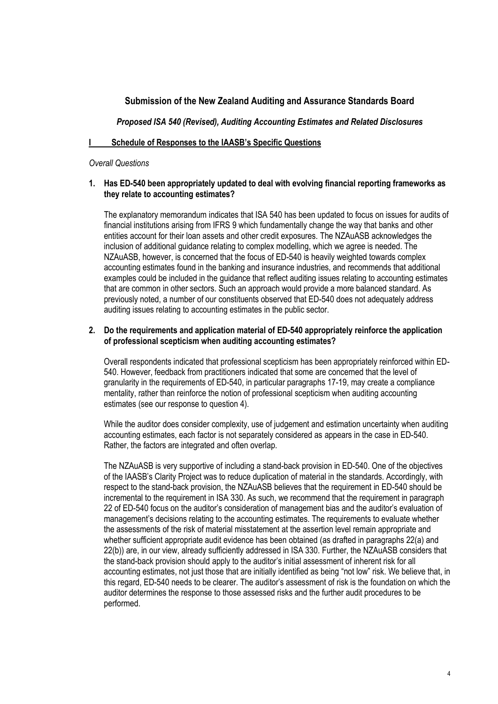# **Submission of the New Zealand Auditing and Assurance Standards Board**

*Proposed ISA 540 (Revised), Auditing Accounting Estimates and Related Disclosures*

# **I Schedule of Responses to the IAASB's Specific Questions**

#### *Overall Questions*

# **1. Has ED-540 been appropriately updated to deal with evolving financial reporting frameworks as they relate to accounting estimates?**

The explanatory memorandum indicates that ISA 540 has been updated to focus on issues for audits of financial institutions arising from IFRS 9 which fundamentally change the way that banks and other entities account for their loan assets and other credit exposures. The NZAuASB acknowledges the inclusion of additional guidance relating to complex modelling, which we agree is needed. The NZAuASB, however, is concerned that the focus of ED-540 is heavily weighted towards complex accounting estimates found in the banking and insurance industries, and recommends that additional examples could be included in the guidance that reflect auditing issues relating to accounting estimates that are common in other sectors. Such an approach would provide a more balanced standard. As previously noted, a number of our constituents observed that ED-540 does not adequately address auditing issues relating to accounting estimates in the public sector.

# **2. Do the requirements and application material of ED-540 appropriately reinforce the application of professional scepticism when auditing accounting estimates?**

Overall respondents indicated that professional scepticism has been appropriately reinforced within ED-540. However, feedback from practitioners indicated that some are concerned that the level of granularity in the requirements of ED-540, in particular paragraphs 17-19, may create a compliance mentality, rather than reinforce the notion of professional scepticism when auditing accounting estimates (see our response to question 4).

While the auditor does consider complexity, use of judgement and estimation uncertainty when auditing accounting estimates, each factor is not separately considered as appears in the case in ED-540. Rather, the factors are integrated and often overlap.

The NZAuASB is very supportive of including a stand-back provision in ED-540. One of the objectives of the IAASB's Clarity Project was to reduce duplication of material in the standards. Accordingly, with respect to the stand-back provision, the NZAuASB believes that the requirement in ED-540 should be incremental to the requirement in ISA 330. As such, we recommend that the requirement in paragraph 22 of ED-540 focus on the auditor's consideration of management bias and the auditor's evaluation of management's decisions relating to the accounting estimates. The requirements to evaluate whether the assessments of the risk of material misstatement at the assertion level remain appropriate and whether sufficient appropriate audit evidence has been obtained (as drafted in paragraphs 22(a) and 22(b)) are, in our view, already sufficiently addressed in ISA 330. Further, the NZAuASB considers that the stand-back provision should apply to the auditor's initial assessment of inherent risk for all accounting estimates, not just those that are initially identified as being "not low" risk. We believe that, in this regard, ED-540 needs to be clearer. The auditor's assessment of risk is the foundation on which the auditor determines the response to those assessed risks and the further audit procedures to be performed.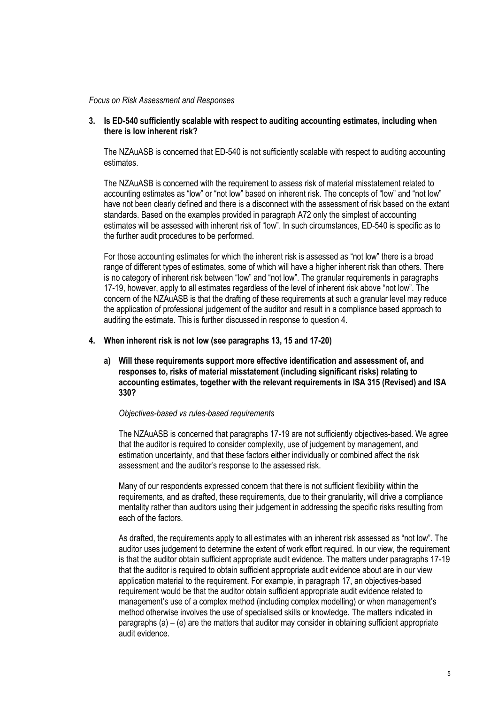#### *Focus on Risk Assessment and Responses*

# **3. Is ED-540 sufficiently scalable with respect to auditing accounting estimates, including when there is low inherent risk?**

The NZAuASB is concerned that ED-540 is not sufficiently scalable with respect to auditing accounting estimates.

The NZAuASB is concerned with the requirement to assess risk of material misstatement related to accounting estimates as "low" or "not low" based on inherent risk. The concepts of "low" and "not low" have not been clearly defined and there is a disconnect with the assessment of risk based on the extant standards. Based on the examples provided in paragraph A72 only the simplest of accounting estimates will be assessed with inherent risk of "low". In such circumstances, ED-540 is specific as to the further audit procedures to be performed.

For those accounting estimates for which the inherent risk is assessed as "not low" there is a broad range of different types of estimates, some of which will have a higher inherent risk than others. There is no category of inherent risk between "low" and "not low". The granular requirements in paragraphs 17-19, however, apply to all estimates regardless of the level of inherent risk above "not low". The concern of the NZAuASB is that the drafting of these requirements at such a granular level may reduce the application of professional judgement of the auditor and result in a compliance based approach to auditing the estimate. This is further discussed in response to question 4.

# **4. When inherent risk is not low (see paragraphs 13, 15 and 17-20)**

**a) Will these requirements support more effective identification and assessment of, and responses to, risks of material misstatement (including significant risks) relating to accounting estimates, together with the relevant requirements in ISA 315 (Revised) and ISA 330?**

#### *Objectives-based vs rules-based requirements*

The NZAuASB is concerned that paragraphs 17-19 are not sufficiently objectives-based. We agree that the auditor is required to consider complexity, use of judgement by management, and estimation uncertainty, and that these factors either individually or combined affect the risk assessment and the auditor's response to the assessed risk.

Many of our respondents expressed concern that there is not sufficient flexibility within the requirements, and as drafted, these requirements, due to their granularity, will drive a compliance mentality rather than auditors using their judgement in addressing the specific risks resulting from each of the factors.

As drafted, the requirements apply to all estimates with an inherent risk assessed as "not low". The auditor uses judgement to determine the extent of work effort required. In our view, the requirement is that the auditor obtain sufficient appropriate audit evidence. The matters under paragraphs 17-19 that the auditor is required to obtain sufficient appropriate audit evidence about are in our view application material to the requirement. For example, in paragraph 17, an objectives-based requirement would be that the auditor obtain sufficient appropriate audit evidence related to management's use of a complex method (including complex modelling) or when management's method otherwise involves the use of specialised skills or knowledge. The matters indicated in paragraphs  $(a) - (e)$  are the matters that auditor may consider in obtaining sufficient appropriate audit evidence.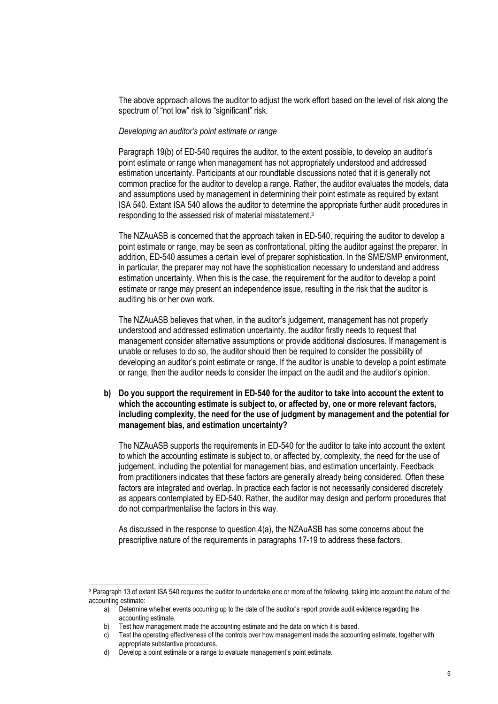The above approach allows the auditor to adjust the work effort based on the level of risk along the spectrum of "not low" risk to "significant" risk.

#### *Developing an auditor's point estimate or range*

Paragraph 19(b) of ED-540 requires the auditor, to the extent possible, to develop an auditor's point estimate or range when management has not appropriately understood and addressed estimation uncertainty. Participants at our roundtable discussions noted that it is generally not common practice for the auditor to develop a range. Rather, the auditor evaluates the models, data and assumptions used by management in determining their point estimate as required by extant ISA 540. Extant ISA 540 allows the auditor to determine the appropriate further audit procedures in responding to the assessed risk of material misstatement.<sup>3</sup>

The NZAuASB is concerned that the approach taken in ED-540, requiring the auditor to develop a point estimate or range, may be seen as confrontational, pitting the auditor against the preparer. In addition, ED-540 assumes a certain level of preparer sophistication. In the SME/SMP environment, in particular, the preparer may not have the sophistication necessary to understand and address estimation uncertainty. When this is the case, the requirement for the auditor to develop a point estimate or range may present an independence issue, resulting in the risk that the auditor is auditing his or her own work.

The NZAuASB believes that when, in the auditor's judgement, management has not properly understood and addressed estimation uncertainty, the auditor firstly needs to request that management consider alternative assumptions or provide additional disclosures. If management is unable or refuses to do so, the auditor should then be required to consider the possibility of developing an auditor's point estimate or range. If the auditor is unable to develop a point estimate or range, then the auditor needs to consider the impact on the audit and the auditor's opinion.

**b) Do you support the requirement in ED-540 for the auditor to take into account the extent to which the accounting estimate is subject to, or affected by, one or more relevant factors, including complexity, the need for the use of judgment by management and the potential for management bias, and estimation uncertainty?**

The NZAuASB supports the requirements in ED-540 for the auditor to take into account the extent to which the accounting estimate is subject to, or affected by, complexity, the need for the use of judgement, including the potential for management bias, and estimation uncertainty. Feedback from practitioners indicates that these factors are generally already being considered. Often these factors are integrated and overlap. In practice each factor is not necessarily considered discretely as appears contemplated by ED-540. Rather, the auditor may design and perform procedures that do not compartmentalise the factors in this way.

As discussed in the response to question 4(a), the NZAuASB has some concerns about the prescriptive nature of the requirements in paragraphs 17-19 to address these factors.

l

<sup>&</sup>lt;sup>3</sup> Paragraph 13 of extant ISA 540 requires the auditor to undertake one or more of the following, taking into account the nature of the accounting estimate:

a) Determine whether events occurring up to the date of the auditor's report provide audit evidence regarding the accounting estimate.

b) Test how management made the accounting estimate and the data on which it is based.

c) Test the operating effectiveness of the controls over how management made the accounting estimate, together with appropriate substantive procedures.

d) Develop a point estimate or a range to evaluate management's point estimate.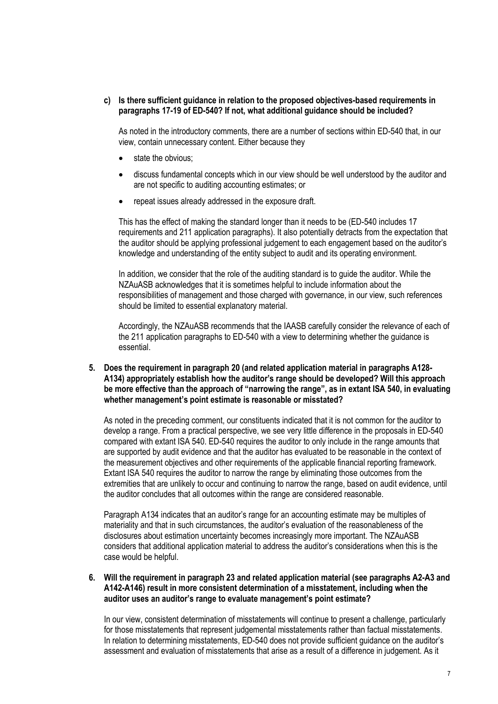# **c) Is there sufficient guidance in relation to the proposed objectives-based requirements in paragraphs 17-19 of ED-540? If not, what additional guidance should be included?**

As noted in the introductory comments, there are a number of sections within ED-540 that, in our view, contain unnecessary content. Either because they

- state the obvious:
- discuss fundamental concepts which in our view should be well understood by the auditor and are not specific to auditing accounting estimates; or
- repeat issues already addressed in the exposure draft.

This has the effect of making the standard longer than it needs to be (ED-540 includes 17 requirements and 211 application paragraphs). It also potentially detracts from the expectation that the auditor should be applying professional judgement to each engagement based on the auditor's knowledge and understanding of the entity subject to audit and its operating environment.

In addition, we consider that the role of the auditing standard is to guide the auditor. While the NZAuASB acknowledges that it is sometimes helpful to include information about the responsibilities of management and those charged with governance, in our view, such references should be limited to essential explanatory material.

Accordingly, the NZAuASB recommends that the IAASB carefully consider the relevance of each of the 211 application paragraphs to ED-540 with a view to determining whether the guidance is essential.

**5. Does the requirement in paragraph 20 (and related application material in paragraphs A128- A134) appropriately establish how the auditor's range should be developed? Will this approach be more effective than the approach of "narrowing the range", as in extant ISA 540, in evaluating whether management's point estimate is reasonable or misstated?**

As noted in the preceding comment, our constituents indicated that it is not common for the auditor to develop a range. From a practical perspective, we see very little difference in the proposals in ED-540 compared with extant ISA 540. ED-540 requires the auditor to only include in the range amounts that are supported by audit evidence and that the auditor has evaluated to be reasonable in the context of the measurement objectives and other requirements of the applicable financial reporting framework. Extant ISA 540 requires the auditor to narrow the range by eliminating those outcomes from the extremities that are unlikely to occur and continuing to narrow the range, based on audit evidence, until the auditor concludes that all outcomes within the range are considered reasonable.

Paragraph A134 indicates that an auditor's range for an accounting estimate may be multiples of materiality and that in such circumstances, the auditor's evaluation of the reasonableness of the disclosures about estimation uncertainty becomes increasingly more important. The NZAuASB considers that additional application material to address the auditor's considerations when this is the case would be helpful.

**6. Will the requirement in paragraph 23 and related application material (see paragraphs A2-A3 and A142-A146) result in more consistent determination of a misstatement, including when the auditor uses an auditor's range to evaluate management's point estimate?**

In our view, consistent determination of misstatements will continue to present a challenge, particularly for those misstatements that represent judgemental misstatements rather than factual misstatements. In relation to determining misstatements, ED-540 does not provide sufficient guidance on the auditor's assessment and evaluation of misstatements that arise as a result of a difference in judgement. As it